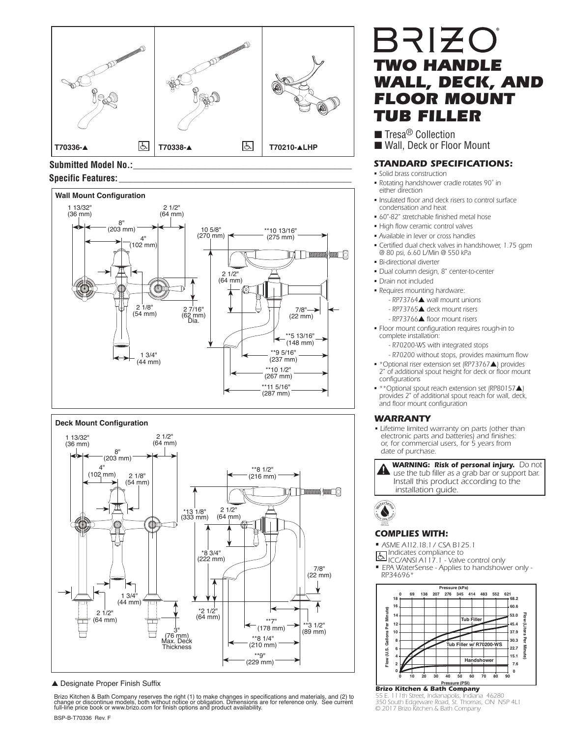

## Submitted Model No.: **Specific Features: \_\_\_\_\_\_\_\_\_\_\_\_\_\_\_\_\_\_\_\_\_\_\_\_\_\_\_\_\_\_\_\_\_\_\_\_\_\_\_\_\_\_\_\_\_\_\_\_\_\_**



### **Deck Mount Configuration**



#### ▲ Designate Proper Finish Suffix

BSP-B-T70336 Rev. F Brizo Kitchen & Bath Company reserves the right (1) to make changes in specifications and materials, and (2) to<br>change or discontinue models, both without notice or obligation. Dimensions are for reference only. See curre

# BRIZO *TWO HANDLE WALL, DECK, AND*  **FLOOR MOUNT** *TUB FILLER*

■ Tresa<sup>®</sup> Collection ■ Wall, Deck or Floor Mount

### *STANDARD SPECIFICATIONS:*

- *Solid brass construction*
- *Rotating handshower cradle rotates 90˚ in either direction*
- *Insulated floor and deck risers to control surface condensation and heat*
- *60"-82" stretchable finished metal hose*
- *High flow ceramic control valves*
- *Available in lever or cross handles*
- *Certified dual check valves in handshower, 1.75 gpm @ 80 psi, 6.60 L/Min @ 550 kPa*
- *Bi-directional diverter*
- *Dual column design, 8" center-to-center*
- *Drain not included*
- *Requires mounting hardware: - RP73764*▲ *wall mount unions*
	- *RP73765*▲ *deck mount risers*
	- *RP73766*▲ *floor mount risers*
- *Floor mount configuration requires rough-in to complete installation:*

 *- R70200-WS with integrated stops*

- *R70200 without stops, provides maximum flow*
- *\*Optional riser extension set (RP73767*▲*) provides 2" of additional spout height for deck or floor mount configurations*
- *\*\*Optional spout reach extension set (RP80157*▲*) provides 2" of additional spout reach for wall, deck, and floor mount configuration*

### *WARRANTY*

- *Lifetime limited warranty on parts (other than electronic parts and batteries) and finishes: or, for commercial users, for 5 years from date of purchase.*
- *A* WARNING: Risk of personal injury. Do not **a** use the tub filler as a grab bar or support bar  *use the tub filler as a grab bar or support bar. Install this product according to the installation guide.*



### *COMPLIES WITH:*

*• ASME A112.18.1 / CSA B125.1*

*Indicates compliance to* 

- *ICC/ANSI A117.1 Valve control only*
- *EPA WaterSense Applies to handshower only RP34696\**



**Pressure (PSI)** *Brizo Kitchen & Bath Company*

*55 E. 111th Street, Indianapolis, Indiana 46280 350 South Edgeware Road, St. Thomas, ON N5P 4L1 © 2017 Brizo Kitchen & Bath Company*